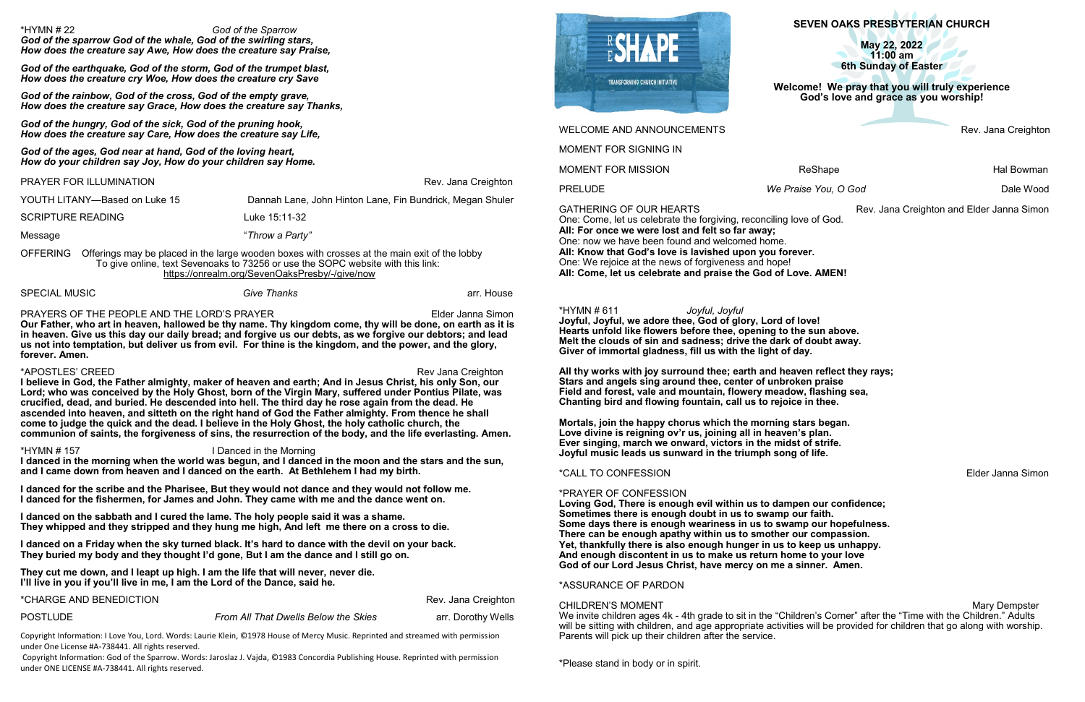# **SEVEN OAKS PRESBYTERIAN CHURCH**

**May 22, 2022 11:00 am 6th Sunday of Easter**

#### **Welcome!****We pray that you will truly experience God's love and grace as you worship!**

MOMENT FOR SIGNING IN

MOMENT FOR MISSION **ReShape** ReShape **Hal Bowman** 

PRELUDE *We Praise You, O God* Dale Wood

GATHERING OF OUR HEARTS **Rev. Jana Creighton and Elder Janna Simon** 

One: Come, let us celebrate the forgiving, reconciling love of God. **All: For once we were lost and felt so far away;** One: now we have been found and welcomed home. **All: Know that God's love is lavished upon you forever.** One: We rejoice at the news of forgiveness and hope! **All: Come, let us celebrate and praise the God of Love. AMEN!**

\*HYMN # 611 *Joyful, Joyful*

**Joyful, Joyful, we adore thee, God of glory, Lord of love! Hearts unfold like flowers before thee, opening to the sun above. Melt the clouds of sin and sadness; drive the dark of doubt away. Giver of immortal gladness, fill us with the light of day.**

**All thy works with joy surround thee; earth and heaven reflect they rays; Stars and angels sing around thee, center of unbroken praise Field and forest, vale and mountain, flowery meadow, flashing sea, Chanting bird and flowing fountain, call us to rejoice in thee.**

**CHILDREN'S MOMENT** CHILDREN'S MOMENT We invite children ages 4k - 4th grade to sit in the "Children's Corner" after the "Time with the Children." Adults will be sitting with children, and age appropriate activities will be provided for children that go along with worship. Parents will pick up their children after the service.

**Mortals, join the happy chorus which the morning stars began. Love divine is reigning ov'r us, joining all in heaven's plan. Ever singing, march we onward, victors in the midst of strife. Joyful music leads us sunward in the triumph song of life.**

\*CALL TO CONFESSION Elder Janna Simon

## \*PRAYER OF CONFESSION

**Loving God, There is enough evil within us to dampen our confidence; Sometimes there is enough doubt in us to swamp our faith. Some days there is enough weariness in us to swamp our hopefulness. There can be enough apathy within us to smother our compassion. Yet, thankfully there is also enough hunger in us to keep us unhappy. And enough discontent in us to make us return home to your love God of our Lord Jesus Christ, have mercy on me a sinner. Amen.** 

PRAYERS OF THE PEOPLE AND THE LORD'S PRAYER **Elder Janna Simon Our Father, who art in heaven, hallowed be thy name. Thy kingdom come, thy will be done, on earth as it is in heaven. Give us this day our daily bread; and forgive us our debts, as we forgive our debtors; and lead us not into temptation, but deliver us from evil. For thine is the kingdom, and the power, and the glory, forever. Amen.** 

\*ASSURANCE OF PARDON

\*Please stand in body or in spirit.

#### \*HYMN # 22 *God of the Sparrow God of the sparrow God of the whale, God of the swirling stars, How does the creature say Awe, How does the creature say Praise,*

*God of the earthquake, God of the storm, God of the trumpet blast, How does the creature cry Woe, How does the creature cry Save*

*God of the rainbow, God of the cross, God of the empty grave, How does the creature say Grace, How does the creature say Thanks,*

*God of the hungry, God of the sick, God of the pruning hook, How does the creature say Care, How does the creature say Life,*

*God of the ages, God near at hand, God of the loving heart, How do your children say Joy, How do your children say Home.*

|                               | PRAYER FOR ILLUMINATION                                                                               | Rev. Jana Creighton                                       |
|-------------------------------|-------------------------------------------------------------------------------------------------------|-----------------------------------------------------------|
| YOUTH LITANY-Based on Luke 15 |                                                                                                       | Dannah Lane, John Hinton Lane, Fin Bundrick, Megan Shuler |
| <b>SCRIPTURE READING</b>      |                                                                                                       | Luke 15:11-32                                             |
| Message                       |                                                                                                       | "Throw a Party"                                           |
|                               | OFFERING Offerings may be placed in the large wooden boxes with crosses at the main exit of the lobby |                                                           |

OFFERING Offerings may be placed in the large wooden boxes with crosses at the main exit of the lobby To give online, text Sevenoaks to 73256 or use the SOPC website with this link: [https://onrealm.org/SevenOaksPresby/](https://onrealm.org/SevenOaksPresby/-/give/now)-/give/now

SPECIAL MUSIC *Give Thanks* arr. House

#### \*APOSTLES' CREED Rev Jana Creighton

**I believe in God, the Father almighty, maker of heaven and earth; And in Jesus Christ, his only Son, our Lord; who was conceived by the Holy Ghost, born of the Virgin Mary, suffered under Pontius Pilate, was crucified, dead, and buried. He descended into hell. The third day he rose again from the dead. He ascended into heaven, and sitteth on the right hand of God the Father almighty. From thence he shall come to judge the quick and the dead. I believe in the Holy Ghost, the holy catholic church, the communion of saints, the forgiveness of sins, the resurrection of the body, and the life everlasting. Amen.**

#### \*HYMN # 157 I Danced in the Morning

**I danced in the morning when the world was begun, and I danced in the moon and the stars and the sun, and I came down from heaven and I danced on the earth. At Bethlehem I had my birth.**

**I danced for the scribe and the Pharisee, But they would not dance and they would not follow me. I danced for the fishermen, for James and John. They came with me and the dance went on.**

**I danced on the sabbath and I cured the lame. The holy people said it was a shame. They whipped and they stripped and they hung me high, And left me there on a cross to die.**

**I danced on a Friday when the sky turned black. It's hard to dance with the devil on your back. They buried my body and they thought I'd gone, But I am the dance and I still go on.**

**They cut me down, and I leapt up high. I am the life that will never, never die. I'll live in you if you'll live in me, I am the Lord of the Dance, said he.**

\*CHARGE AND BENEDICTION Rev. Jana Creighton

POSTLUDE *From All That Dwells Below the Skies* arr. Dorothy Wells

Copyright Information: I Love You, Lord. Words: Laurie Klein, ©1978 House of Mercy Music. Reprinted and streamed with permission under One License #A-738441. All rights reserved.

Copyright Information: God of the Sparrow. Words: Jaroslaz J. Vajda, ©1983 Concordia Publishing House. Reprinted with permission under ONE LICENSE #A-738441. All rights reserved.



WELCOME AND ANNOUNCEMENTS **Rev. Jana Creighton**